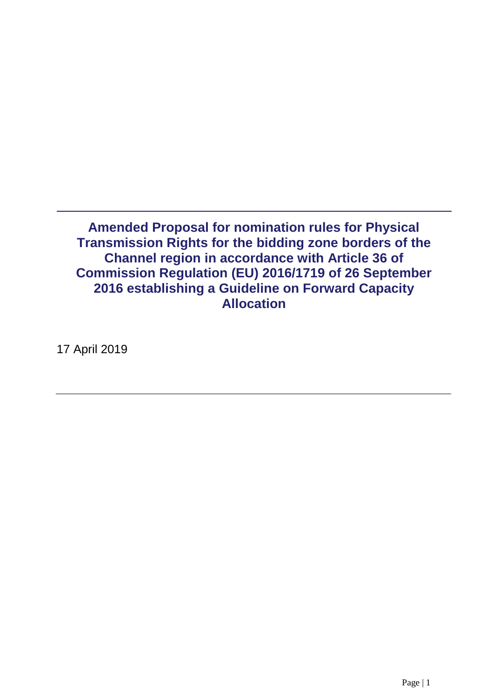**Amended Proposal for nomination rules for Physical Transmission Rights for the bidding zone borders of the Channel region in accordance with Article 36 of Commission Regulation (EU) 2016/1719 of 26 September 2016 establishing a Guideline on Forward Capacity Allocation**

17 April 2019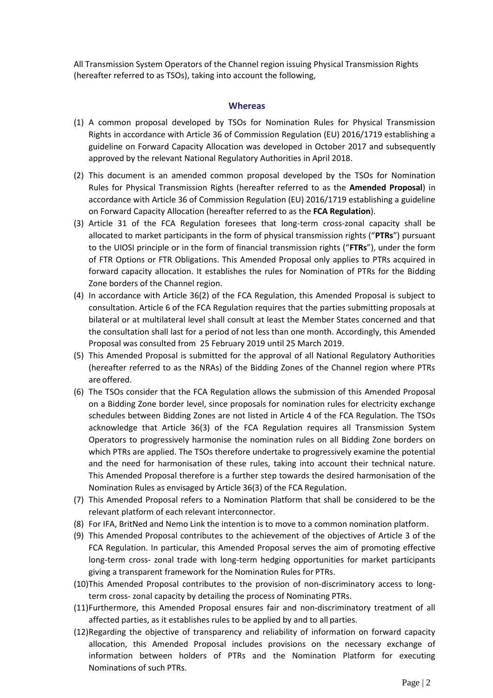All Transmission System Operators of the Channel region issuing Physical Transmission Rights (hereafter referred to as TSOs), taking into account the following,

#### **Whereas**

- (1) A common proposal developed by TSOs for Nomination Rules for Physical Transmission Rights in accordance with Article 36 of Commission Regulation (EU) 2016/1719 establishing a guideline on Forward Capacity Allocation was developed in October 2017 and subsequently approved by the relevant National Regulatory Authorities in April 2018.
- (2) This document is an amended common proposal developed by the TSOs for Nomination Rules for Physical Transmission Rights (hereafter referred to as the **Amended Proposal**) in accordance with Article 36 of Commission Regulation (EU) 2016/1719 establishing a guideline on Forward Capacity Allocation (hereafter referred to as the **FCA Regulation**).
- (3) Article 31 of the FCA Regulation foresees that long-term cross-zonal capacity shall be allocated to market participants in the form of physical transmission rights ("**PTRs**") pursuant to the UIOSI principle or in the form of financial transmission rights ("**FTRs**"), under the form of FTR Options or FTR Obligations. This Amended Proposal only applies to PTRs acquired in forward capacity allocation. It establishes the rules for Nomination of PTRs for the Bidding Zone borders of the Channel region.
- (4) In accordance with Article 36(2) of the FCA Regulation, this Amended Proposal is subject to consultation. Article 6 of the FCA Regulation requires that the parties submitting proposals at bilateral or at multilateral level shall consult at least the Member States concerned and that the consultation shall last for a period of not less than one month. Accordingly, this Amended Proposal was consulted from 25 February 2019 until 25 March 2019.
- (5) This Amended Proposal is submitted for the approval of all National Regulatory Authorities (hereafter referred to as the NRAs) of the Bidding Zones of the Channel region where PTRs are offered.
- (6) The TSOs consider that the FCA Regulation allows the submission of this Amended Proposal on a Bidding Zone border level, since proposals for nomination rules for electricity exchange schedules between Bidding Zones are not listed in Article 4 of the FCA Regulation. The TSOs acknowledge that Article 36(3) of the FCA Regulation requires all Transmission System Operators to progressively harmonise the nomination rules on all Bidding Zone borders on which PTRs are applied. The TSOs therefore undertake to progressively examine the potential and the need for harmonisation of these rules, taking into account their technical nature. This Amended Proposal therefore is a further step towards the desired harmonisation of the Nomination Rules as envisaged by Article 36(3) of the FCA Regulation.
- (7) This Amended Proposal refers to a Nomination Platform that shall be considered to be the relevant platform of each relevant interconnector.
- (8) For IFA, BritNed and Nemo Link the intention is to move to a common nomination platform.
- (9) This Amended Proposal contributes to the achievement of the objectives of Article 3 of the FCA Regulation. In particular, this Amended Proposal serves the aim of promoting effective long-term cross- zonal trade with long-term hedging opportunities for market participants giving a transparent framework for the Nomination Rules for PTRs.
- (10)This Amended Proposal contributes to the provision of non-discriminatory access to longterm cross- zonal capacity by detailing the process of Nominating PTRs.
- (11)Furthermore, this Amended Proposal ensures fair and non-discriminatory treatment of all affected parties, as it establishes rules to be applied by and to all parties.
- (12)Regarding the objective of transparency and reliability of information on forward capacity allocation, this Amended Proposal includes provisions on the necessary exchange of information between holders of PTRs and the Nomination Platform for executing Nominations of such PTRs.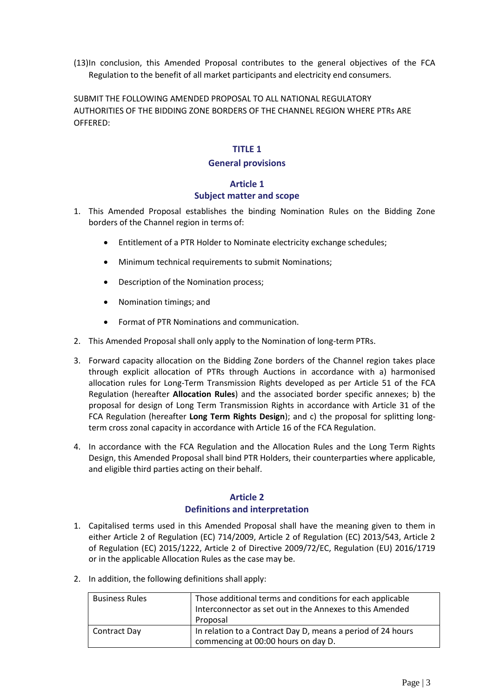(13)In conclusion, this Amended Proposal contributes to the general objectives of the FCA Regulation to the benefit of all market participants and electricity end consumers.

SUBMIT THE FOLLOWING AMENDED PROPOSAL TO ALL NATIONAL REGULATORY AUTHORITIES OF THE BIDDING ZONE BORDERS OF THE CHANNEL REGION WHERE PTRs ARE OFFERED:

#### **TITLE 1**

#### **General provisions**

#### **Article 1 Subject matter and scope**

- 1. This Amended Proposal establishes the binding Nomination Rules on the Bidding Zone borders of the Channel region in terms of:
	- Entitlement of a PTR Holder to Nominate electricity exchange schedules;
	- Minimum technical requirements to submit Nominations;
	- Description of the Nomination process;
	- Nomination timings; and
	- Format of PTR Nominations and communication.
- 2. This Amended Proposal shall only apply to the Nomination of long-term PTRs.
- 3. Forward capacity allocation on the Bidding Zone borders of the Channel region takes place through explicit allocation of PTRs through Auctions in accordance with a) harmonised allocation rules for Long-Term Transmission Rights developed as per Article 51 of the FCA Regulation (hereafter **Allocation Rules**) and the associated border specific annexes; b) the proposal for design of Long Term Transmission Rights in accordance with Article 31 of the FCA Regulation (hereafter **Long Term Rights Design**); and c) the proposal for splitting longterm cross zonal capacity in accordance with Article 16 of the FCA Regulation.
- 4. In accordance with the FCA Regulation and the Allocation Rules and the Long Term Rights Design, this Amended Proposal shall bind PTR Holders, their counterparties where applicable, and eligible third parties acting on their behalf.

## **Article 2 Definitions and interpretation**

- 1. Capitalised terms used in this Amended Proposal shall have the meaning given to them in either Article 2 of Regulation (EC) 714/2009, Article 2 of Regulation (EC) 2013/543, Article 2 of Regulation (EC) 2015/1222, Article 2 of Directive 2009/72/EC, Regulation (EU) 2016/1719 or in the applicable Allocation Rules as the case may be.
- 2. In addition, the following definitions shall apply:

| <b>Business Rules</b> | Those additional terms and conditions for each applicable<br>Interconnector as set out in the Annexes to this Amended<br>Proposal |
|-----------------------|-----------------------------------------------------------------------------------------------------------------------------------|
| Contract Day          | In relation to a Contract Day D, means a period of 24 hours<br>commencing at 00:00 hours on day D.                                |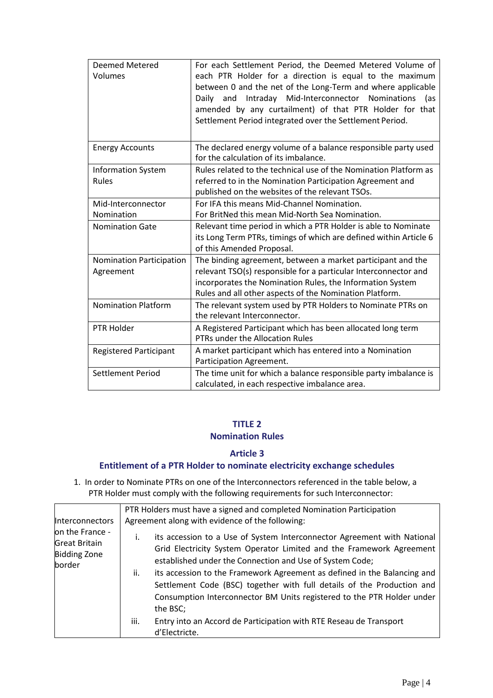| Deemed Metered<br>Volumes                 | For each Settlement Period, the Deemed Metered Volume of<br>each PTR Holder for a direction is equal to the maximum<br>between 0 and the net of the Long-Term and where applicable<br>and Intraday Mid-Interconnector<br>Nominations<br>Daily<br>(as<br>amended by any curtailment) of that PTR Holder for that<br>Settlement Period integrated over the Settlement Period. |
|-------------------------------------------|-----------------------------------------------------------------------------------------------------------------------------------------------------------------------------------------------------------------------------------------------------------------------------------------------------------------------------------------------------------------------------|
| <b>Energy Accounts</b>                    | The declared energy volume of a balance responsible party used<br>for the calculation of its imbalance.                                                                                                                                                                                                                                                                     |
| <b>Information System</b><br><b>Rules</b> | Rules related to the technical use of the Nomination Platform as<br>referred to in the Nomination Participation Agreement and<br>published on the websites of the relevant TSOs.                                                                                                                                                                                            |
| Mid-Interconnector<br>Nomination          | For IFA this means Mid-Channel Nomination.<br>For BritNed this mean Mid-North Sea Nomination.                                                                                                                                                                                                                                                                               |
| <b>Nomination Gate</b>                    | Relevant time period in which a PTR Holder is able to Nominate<br>its Long Term PTRs, timings of which are defined within Article 6<br>of this Amended Proposal.                                                                                                                                                                                                            |
| Nomination Participation<br>Agreement     | The binding agreement, between a market participant and the<br>relevant TSO(s) responsible for a particular Interconnector and<br>incorporates the Nomination Rules, the Information System<br>Rules and all other aspects of the Nomination Platform.                                                                                                                      |
| <b>Nomination Platform</b>                | The relevant system used by PTR Holders to Nominate PTRs on<br>the relevant Interconnector.                                                                                                                                                                                                                                                                                 |
| PTR Holder                                | A Registered Participant which has been allocated long term<br>PTRs under the Allocation Rules                                                                                                                                                                                                                                                                              |
| <b>Registered Participant</b>             | A market participant which has entered into a Nomination<br>Participation Agreement.                                                                                                                                                                                                                                                                                        |
| <b>Settlement Period</b>                  | The time unit for which a balance responsible party imbalance is<br>calculated, in each respective imbalance area.                                                                                                                                                                                                                                                          |

# **TITLE 2**

## **Nomination Rules**

## **Article 3**

## **Entitlement of a PTR Holder to nominate electricity exchange schedules**

1. In order to Nominate PTRs on one of the Interconnectors referenced in the table below, a PTR Holder must comply with the following requirements for such Interconnector:

| <b>Interconnectors</b><br>on the France -<br><b>Great Britain</b><br><b>Bidding Zone</b><br>border | PTR Holders must have a signed and completed Nomination Participation<br>Agreement along with evidence of the following:                                                                                                                                                                                                                                                                                                                                             |
|----------------------------------------------------------------------------------------------------|----------------------------------------------------------------------------------------------------------------------------------------------------------------------------------------------------------------------------------------------------------------------------------------------------------------------------------------------------------------------------------------------------------------------------------------------------------------------|
|                                                                                                    | its accession to a Use of System Interconnector Agreement with National<br>İ.<br>Grid Electricity System Operator Limited and the Framework Agreement<br>established under the Connection and Use of System Code;<br>its accession to the Framework Agreement as defined in the Balancing and<br>ii.<br>Settlement Code (BSC) together with full details of the Production and<br>Consumption Interconnector BM Units registered to the PTR Holder under<br>the BSC; |
|                                                                                                    | Entry into an Accord de Participation with RTE Reseau de Transport<br>iii.<br>d'Electricte.                                                                                                                                                                                                                                                                                                                                                                          |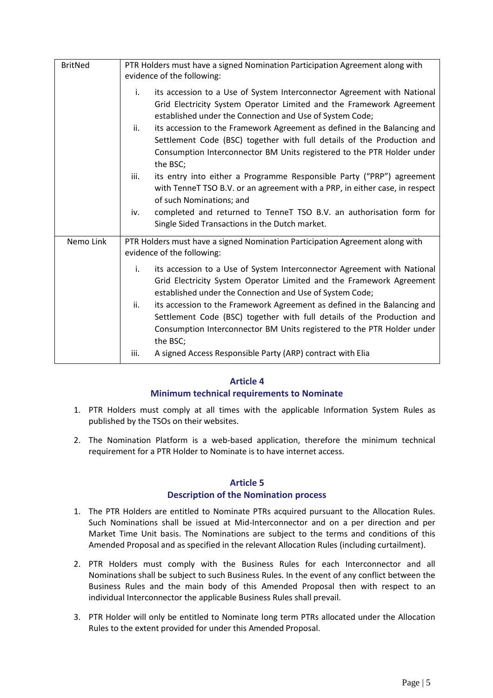| <b>BritNed</b> | PTR Holders must have a signed Nomination Participation Agreement along with<br>evidence of the following:                                                                                                                                                                                                                                                                                                                                                                                                                                                                                                                                                                                                                                                                                       |
|----------------|--------------------------------------------------------------------------------------------------------------------------------------------------------------------------------------------------------------------------------------------------------------------------------------------------------------------------------------------------------------------------------------------------------------------------------------------------------------------------------------------------------------------------------------------------------------------------------------------------------------------------------------------------------------------------------------------------------------------------------------------------------------------------------------------------|
|                | i.<br>its accession to a Use of System Interconnector Agreement with National<br>Grid Electricity System Operator Limited and the Framework Agreement<br>established under the Connection and Use of System Code;<br>its accession to the Framework Agreement as defined in the Balancing and<br>ii.<br>Settlement Code (BSC) together with full details of the Production and<br>Consumption Interconnector BM Units registered to the PTR Holder under<br>the BSC;<br>iii.<br>its entry into either a Programme Responsible Party ("PRP") agreement<br>with TenneT TSO B.V. or an agreement with a PRP, in either case, in respect<br>of such Nominations; and<br>completed and returned to TenneT TSO B.V. an authorisation form for<br>iv.<br>Single Sided Transactions in the Dutch market. |
| Nemo Link      | PTR Holders must have a signed Nomination Participation Agreement along with<br>evidence of the following:<br>its accession to a Use of System Interconnector Agreement with National<br>i.<br>Grid Electricity System Operator Limited and the Framework Agreement<br>established under the Connection and Use of System Code;<br>ii.<br>its accession to the Framework Agreement as defined in the Balancing and<br>Settlement Code (BSC) together with full details of the Production and<br>Consumption Interconnector BM Units registered to the PTR Holder under<br>the BSC;<br>A signed Access Responsible Party (ARP) contract with Elia<br>iii.                                                                                                                                         |

## **Article 4**

## **Minimum technical requirements to Nominate**

- 1. PTR Holders must comply at all times with the applicable Information System Rules as published by the TSOs on their websites.
- 2. The Nomination Platform is a web-based application, therefore the minimum technical requirement for a PTR Holder to Nominate is to have internet access.

## **Article 5 Description of the Nomination process**

- 1. The PTR Holders are entitled to Nominate PTRs acquired pursuant to the Allocation Rules. Such Nominations shall be issued at Mid-Interconnector and on a per direction and per Market Time Unit basis. The Nominations are subject to the terms and conditions of this Amended Proposal and as specified in the relevant Allocation Rules (including curtailment).
- 2. PTR Holders must comply with the Business Rules for each Interconnector and all Nominations shall be subject to such Business Rules. In the event of any conflict between the Business Rules and the main body of this Amended Proposal then with respect to an individual Interconnector the applicable Business Rules shall prevail.
- 3. PTR Holder will only be entitled to Nominate long term PTRs allocated under the Allocation Rules to the extent provided for under this Amended Proposal.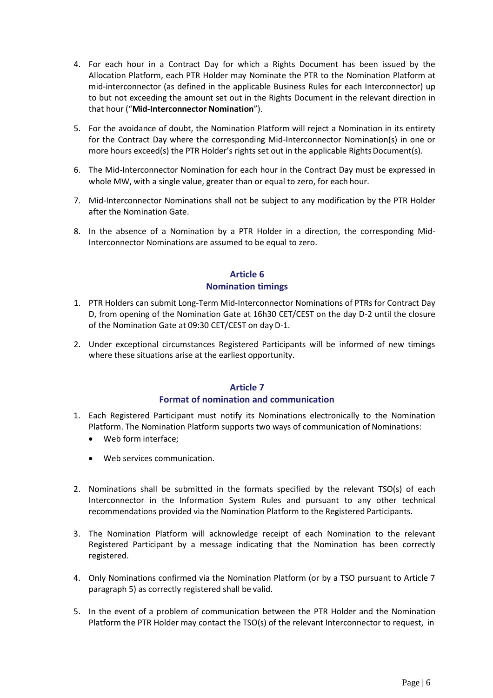- 4. For each hour in a Contract Day for which a Rights Document has been issued by the Allocation Platform, each PTR Holder may Nominate the PTR to the Nomination Platform at mid-interconnector (as defined in the applicable Business Rules for each Interconnector) up to but not exceeding the amount set out in the Rights Document in the relevant direction in that hour ("**Mid-Interconnector Nomination**").
- 5. For the avoidance of doubt, the Nomination Platform will reject a Nomination in its entirety for the Contract Day where the corresponding Mid-Interconnector Nomination(s) in one or more hours exceed(s) the PTR Holder's rights set out in the applicable Rights Document(s).
- 6. The Mid-Interconnector Nomination for each hour in the Contract Day must be expressed in whole MW, with a single value, greater than or equal to zero, for each hour.
- 7. Mid-Interconnector Nominations shall not be subject to any modification by the PTR Holder after the Nomination Gate.
- 8. In the absence of a Nomination by a PTR Holder in a direction, the corresponding Mid-Interconnector Nominations are assumed to be equal to zero.

## **Article 6 Nomination timings**

- 1. PTR Holders can submit Long-Term Mid-Interconnector Nominations of PTRs for Contract Day D, from opening of the Nomination Gate at 16h30 CET/CEST on the day D-2 until the closure of the Nomination Gate at 09:30 CET/CEST on day D-1.
- 2. Under exceptional circumstances Registered Participants will be informed of new timings where these situations arise at the earliest opportunity.

## **Article 7**

#### **Format of nomination and communication**

- 1. Each Registered Participant must notify its Nominations electronically to the Nomination Platform. The Nomination Platform supports two ways of communication of Nominations:
	- Web form interface;
	- Web services communication.
- 2. Nominations shall be submitted in the formats specified by the relevant TSO(s) of each Interconnector in the Information System Rules and pursuant to any other technical recommendations provided via the Nomination Platform to the Registered Participants.
- 3. The Nomination Platform will acknowledge receipt of each Nomination to the relevant Registered Participant by a message indicating that the Nomination has been correctly registered.
- 4. Only Nominations confirmed via the Nomination Platform (or by a TSO pursuant to Article 7 paragraph 5) as correctly registered shall be valid.
- 5. In the event of a problem of communication between the PTR Holder and the Nomination Platform the PTR Holder may contact the TSO(s) of the relevant Interconnector to request, in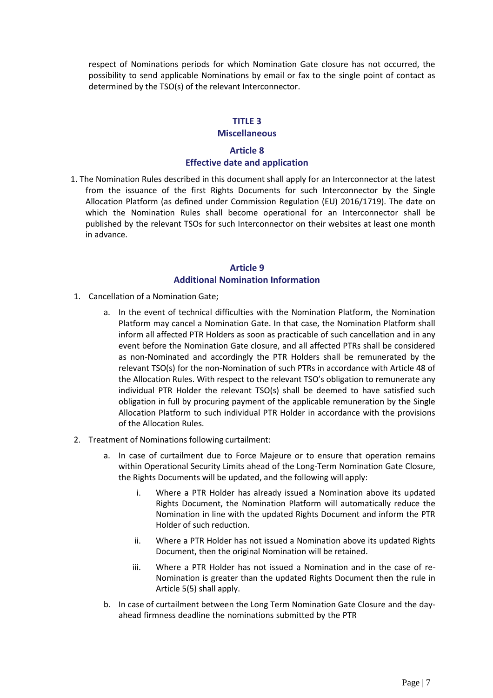respect of Nominations periods for which Nomination Gate closure has not occurred, the possibility to send applicable Nominations by email or fax to the single point of contact as determined by the TSO(s) of the relevant Interconnector.

#### **TITLE 3**

#### **Miscellaneous**

## **Article 8 Effective date and application**

1. The Nomination Rules described in this document shall apply for an Interconnector at the latest from the issuance of the first Rights Documents for such Interconnector by the Single Allocation Platform (as defined under Commission Regulation (EU) 2016/1719). The date on which the Nomination Rules shall become operational for an Interconnector shall be published by the relevant TSOs for such Interconnector on their websites at least one month in advance.

## **Article 9 Additional Nomination Information**

- 1. Cancellation of a Nomination Gate;
	- a. In the event of technical difficulties with the Nomination Platform, the Nomination Platform may cancel a Nomination Gate. In that case, the Nomination Platform shall inform all affected PTR Holders as soon as practicable of such cancellation and in any event before the Nomination Gate closure, and all affected PTRs shall be considered as non-Nominated and accordingly the PTR Holders shall be remunerated by the relevant TSO(s) for the non-Nomination of such PTRs in accordance with Article 48 of the Allocation Rules. With respect to the relevant TSO's obligation to remunerate any individual PTR Holder the relevant TSO(s) shall be deemed to have satisfied such obligation in full by procuring payment of the applicable remuneration by the Single Allocation Platform to such individual PTR Holder in accordance with the provisions of the Allocation Rules.
- 2. Treatment of Nominations following curtailment:
	- a. In case of curtailment due to Force Majeure or to ensure that operation remains within Operational Security Limits ahead of the Long-Term Nomination Gate Closure, the Rights Documents will be updated, and the following will apply:
		- i. Where a PTR Holder has already issued a Nomination above its updated Rights Document, the Nomination Platform will automatically reduce the Nomination in line with the updated Rights Document and inform the PTR Holder of such reduction.
		- ii. Where a PTR Holder has not issued a Nomination above its updated Rights Document, then the original Nomination will be retained.
		- iii. Where a PTR Holder has not issued a Nomination and in the case of re-Nomination is greater than the updated Rights Document then the rule in Article 5(5) shall apply.
	- b. In case of curtailment between the Long Term Nomination Gate Closure and the dayahead firmness deadline the nominations submitted by the PTR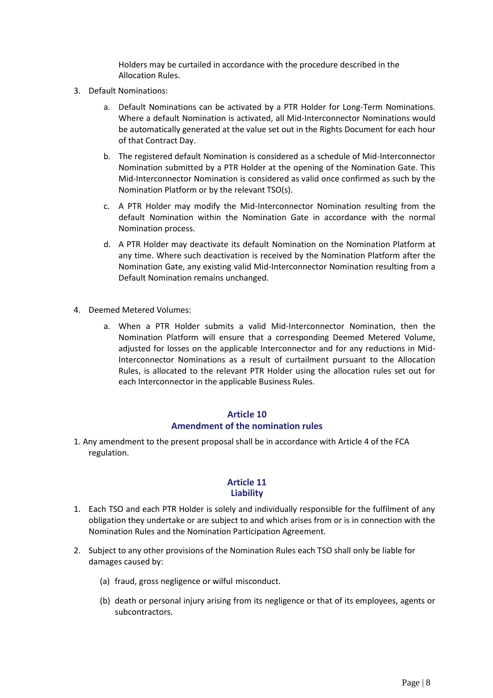Holders may be curtailed in accordance with the procedure described in the Allocation Rules.

- 3. Default Nominations:
	- a. Default Nominations can be activated by a PTR Holder for Long-Term Nominations. Where a default Nomination is activated, all Mid-Interconnector Nominations would be automatically generated at the value set out in the Rights Document for each hour of that Contract Day.
	- b. The registered default Nomination is considered as a schedule of Mid-Interconnector Nomination submitted by a PTR Holder at the opening of the Nomination Gate. This Mid-Interconnector Nomination is considered as valid once confirmed as such by the Nomination Platform or by the relevant TSO(s).
	- c. A PTR Holder may modify the Mid-Interconnector Nomination resulting from the default Nomination within the Nomination Gate in accordance with the normal Nomination process.
	- d. A PTR Holder may deactivate its default Nomination on the Nomination Platform at any time. Where such deactivation is received by the Nomination Platform after the Nomination Gate, any existing valid Mid-Interconnector Nomination resulting from a Default Nomination remains unchanged.
- 4. Deemed Metered Volumes:
	- a. When a PTR Holder submits a valid Mid-Interconnector Nomination, then the Nomination Platform will ensure that a corresponding Deemed Metered Volume, adjusted for losses on the applicable Interconnector and for any reductions in Mid-Interconnector Nominations as a result of curtailment pursuant to the Allocation Rules, is allocated to the relevant PTR Holder using the allocation rules set out for each Interconnector in the applicable Business Rules.

## **Article 10 Amendment of the nomination rules**

1. Any amendment to the present proposal shall be in accordance with Article 4 of the FCA regulation.

## **Article 11 Liability**

- 1. Each TSO and each PTR Holder is solely and individually responsible for the fulfilment of any obligation they undertake or are subject to and which arises from or is in connection with the Nomination Rules and the Nomination Participation Agreement.
- 2. Subject to any other provisions of the Nomination Rules each TSO shall only be liable for damages caused by:
	- (a) fraud, gross negligence or wilful misconduct.
	- (b) death or personal injury arising from its negligence or that of its employees, agents or subcontractors.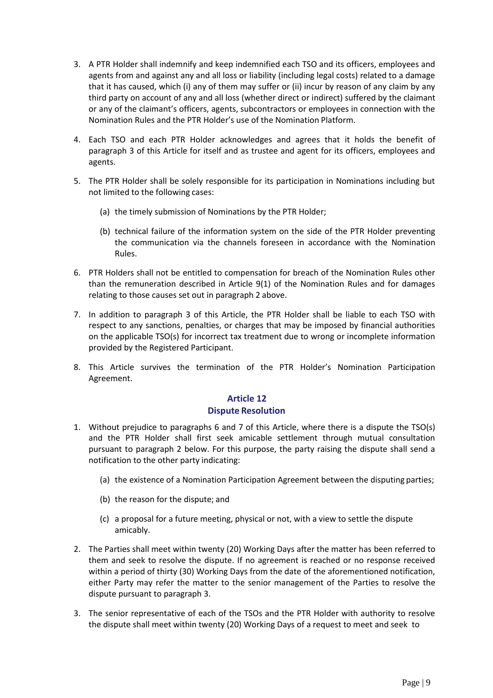- 3. A PTR Holder shall indemnify and keep indemnified each TSO and its officers, employees and agents from and against any and all loss or liability (including legal costs) related to a damage that it has caused, which (i) any of them may suffer or (ii) incur by reason of any claim by any third party on account of any and all loss (whether direct or indirect) suffered by the claimant or any of the claimant's officers, agents, subcontractors or employees in connection with the Nomination Rules and the PTR Holder's use of the Nomination Platform.
- 4. Each TSO and each PTR Holder acknowledges and agrees that it holds the benefit of paragraph 3 of this Article for itself and as trustee and agent for its officers, employees and agents.
- 5. The PTR Holder shall be solely responsible for its participation in Nominations including but not limited to the following cases:
	- (a) the timely submission of Nominations by the PTR Holder;
	- (b) technical failure of the information system on the side of the PTR Holder preventing the communication via the channels foreseen in accordance with the Nomination Rules.
- 6. PTR Holders shall not be entitled to compensation for breach of the Nomination Rules other than the remuneration described in Article 9(1) of the Nomination Rules and for damages relating to those causes set out in paragraph 2 above.
- 7. In addition to paragraph 3 of this Article, the PTR Holder shall be liable to each TSO with respect to any sanctions, penalties, or charges that may be imposed by financial authorities on the applicable TSO(s) for incorrect tax treatment due to wrong or incomplete information provided by the Registered Participant.
- 8. This Article survives the termination of the PTR Holder's Nomination Participation Agreement.

## **Article 12 Dispute Resolution**

- 1. Without prejudice to paragraphs 6 and 7 of this Article, where there is a dispute the TSO(s) and the PTR Holder shall first seek amicable settlement through mutual consultation pursuant to paragraph 2 below. For this purpose, the party raising the dispute shall send a notification to the other party indicating:
	- (a) the existence of a Nomination Participation Agreement between the disputing parties;
	- (b) the reason for the dispute; and
	- (c) a proposal for a future meeting, physical or not, with a view to settle the dispute amicably.
- 2. The Parties shall meet within twenty (20) Working Days after the matter has been referred to them and seek to resolve the dispute. If no agreement is reached or no response received within a period of thirty (30) Working Days from the date of the aforementioned notification, either Party may refer the matter to the senior management of the Parties to resolve the dispute pursuant to paragraph 3.
- 3. The senior representative of each of the TSOs and the PTR Holder with authority to resolve the dispute shall meet within twenty (20) Working Days of a request to meet and seek to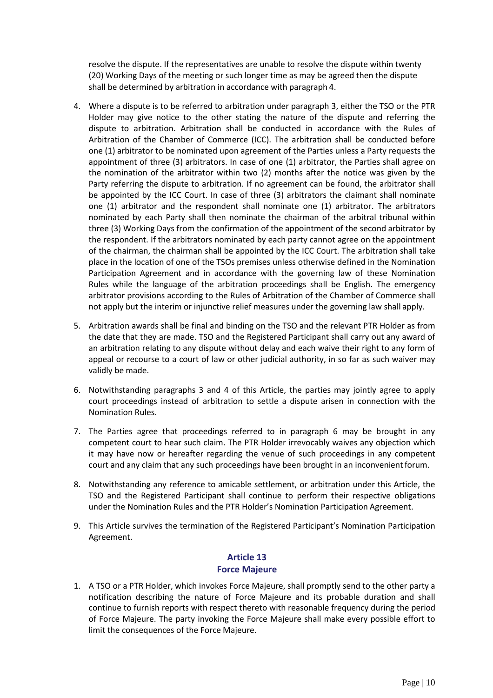resolve the dispute. If the representatives are unable to resolve the dispute within twenty (20) Working Days of the meeting or such longer time as may be agreed then the dispute shall be determined by arbitration in accordance with paragraph 4.

- 4. Where a dispute is to be referred to arbitration under paragraph 3, either the TSO or the PTR Holder may give notice to the other stating the nature of the dispute and referring the dispute to arbitration. Arbitration shall be conducted in accordance with the Rules of Arbitration of the Chamber of Commerce (ICC). The arbitration shall be conducted before one (1) arbitrator to be nominated upon agreement of the Parties unless a Party requests the appointment of three (3) arbitrators. In case of one (1) arbitrator, the Parties shall agree on the nomination of the arbitrator within two (2) months after the notice was given by the Party referring the dispute to arbitration. If no agreement can be found, the arbitrator shall be appointed by the ICC Court. In case of three (3) arbitrators the claimant shall nominate one (1) arbitrator and the respondent shall nominate one (1) arbitrator. The arbitrators nominated by each Party shall then nominate the chairman of the arbitral tribunal within three (3) Working Days from the confirmation of the appointment of the second arbitrator by the respondent. If the arbitrators nominated by each party cannot agree on the appointment of the chairman, the chairman shall be appointed by the ICC Court. The arbitration shall take place in the location of one of the TSOs premises unless otherwise defined in the Nomination Participation Agreement and in accordance with the governing law of these Nomination Rules while the language of the arbitration proceedings shall be English. The emergency arbitrator provisions according to the Rules of Arbitration of the Chamber of Commerce shall not apply but the interim or injunctive relief measures under the governing law shall apply.
- 5. Arbitration awards shall be final and binding on the TSO and the relevant PTR Holder as from the date that they are made. TSO and the Registered Participant shall carry out any award of an arbitration relating to any dispute without delay and each waive their right to any form of appeal or recourse to a court of law or other judicial authority, in so far as such waiver may validly be made.
- 6. Notwithstanding paragraphs 3 and 4 of this Article, the parties may jointly agree to apply court proceedings instead of arbitration to settle a dispute arisen in connection with the Nomination Rules.
- 7. The Parties agree that proceedings referred to in paragraph 6 may be brought in any competent court to hear such claim. The PTR Holder irrevocably waives any objection which it may have now or hereafter regarding the venue of such proceedings in any competent court and any claim that any such proceedings have been brought in an inconvenient forum.
- 8. Notwithstanding any reference to amicable settlement, or arbitration under this Article, the TSO and the Registered Participant shall continue to perform their respective obligations under the Nomination Rules and the PTR Holder's Nomination Participation Agreement.
- 9. This Article survives the termination of the Registered Participant's Nomination Participation Agreement.

## **Article 13 Force Majeure**

1. A TSO or a PTR Holder, which invokes Force Majeure, shall promptly send to the other party a notification describing the nature of Force Majeure and its probable duration and shall continue to furnish reports with respect thereto with reasonable frequency during the period of Force Majeure. The party invoking the Force Majeure shall make every possible effort to limit the consequences of the Force Majeure.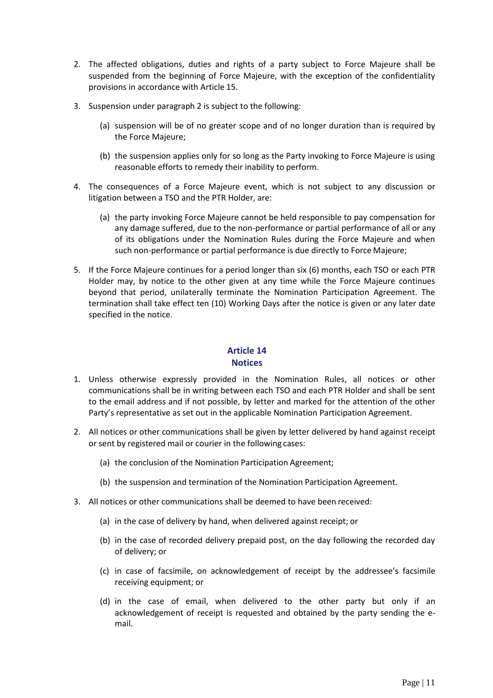- 2. The affected obligations, duties and rights of a party subject to Force Majeure shall be suspended from the beginning of Force Majeure, with the exception of the confidentiality provisions in accordance with Article 15.
- 3. Suspension under paragraph 2 is subject to the following:
	- (a) suspension will be of no greater scope and of no longer duration than is required by the Force Majeure;
	- (b) the suspension applies only for so long as the Party invoking to Force Majeure is using reasonable efforts to remedy their inability to perform.
- 4. The consequences of a Force Majeure event, which is not subject to any discussion or litigation between a TSO and the PTR Holder, are:
	- (a) the party invoking Force Majeure cannot be held responsible to pay compensation for any damage suffered, due to the non-performance or partial performance of all or any of its obligations under the Nomination Rules during the Force Majeure and when such non-performance or partial performance is due directly to Force Majeure;
- 5. If the Force Majeure continues for a period longer than six (6) months, each TSO or each PTR Holder may, by notice to the other given at any time while the Force Majeure continues beyond that period, unilaterally terminate the Nomination Participation Agreement. The termination shall take effect ten (10) Working Days after the notice is given or any later date specified in the notice.

## **Article 14 Notices**

- 1. Unless otherwise expressly provided in the Nomination Rules, all notices or other communications shall be in writing between each TSO and each PTR Holder and shall be sent to the email address and if not possible, by letter and marked for the attention of the other Party's representative as set out in the applicable Nomination Participation Agreement.
- 2. All notices or other communications shall be given by letter delivered by hand against receipt or sent by registered mail or courier in the following cases:
	- (a) the conclusion of the Nomination Participation Agreement;
	- (b) the suspension and termination of the Nomination Participation Agreement.
- 3. All notices or other communications shall be deemed to have been received:
	- (a) in the case of delivery by hand, when delivered against receipt; or
	- (b) in the case of recorded delivery prepaid post, on the day following the recorded day of delivery; or
	- (c) in case of facsimile, on acknowledgement of receipt by the addressee's facsimile receiving equipment; or
	- (d) in the case of email, when delivered to the other party but only if an acknowledgement of receipt is requested and obtained by the party sending the email.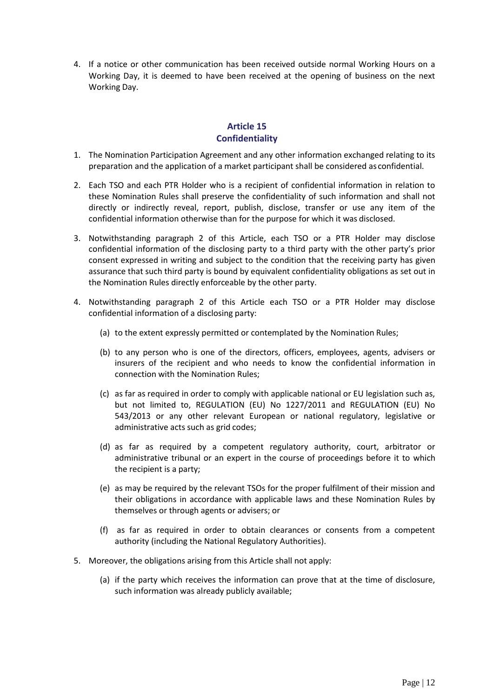4. If a notice or other communication has been received outside normal Working Hours on a Working Day, it is deemed to have been received at the opening of business on the next Working Day.

## **Article 15 Confidentiality**

- 1. The Nomination Participation Agreement and any other information exchanged relating to its preparation and the application of a market participant shall be considered as confidential.
- 2. Each TSO and each PTR Holder who is a recipient of confidential information in relation to these Nomination Rules shall preserve the confidentiality of such information and shall not directly or indirectly reveal, report, publish, disclose, transfer or use any item of the confidential information otherwise than for the purpose for which it was disclosed.
- 3. Notwithstanding paragraph 2 of this Article, each TSO or a PTR Holder may disclose confidential information of the disclosing party to a third party with the other party's prior consent expressed in writing and subject to the condition that the receiving party has given assurance that such third party is bound by equivalent confidentiality obligations as set out in the Nomination Rules directly enforceable by the other party.
- 4. Notwithstanding paragraph 2 of this Article each TSO or a PTR Holder may disclose confidential information of a disclosing party:
	- (a) to the extent expressly permitted or contemplated by the Nomination Rules;
	- (b) to any person who is one of the directors, officers, employees, agents, advisers or insurers of the recipient and who needs to know the confidential information in connection with the Nomination Rules;
	- (c) as far as required in order to comply with applicable national or EU legislation such as, but not limited to, REGULATION (EU) No 1227/2011 and REGULATION (EU) No 543/2013 or any other relevant European or national regulatory, legislative or administrative acts such as grid codes;
	- (d) as far as required by a competent regulatory authority, court, arbitrator or administrative tribunal or an expert in the course of proceedings before it to which the recipient is a party;
	- (e) as may be required by the relevant TSOs for the proper fulfilment of their mission and their obligations in accordance with applicable laws and these Nomination Rules by themselves or through agents or advisers; or
	- (f) as far as required in order to obtain clearances or consents from a competent authority (including the National Regulatory Authorities).
- 5. Moreover, the obligations arising from this Article shall not apply:
	- (a) if the party which receives the information can prove that at the time of disclosure, such information was already publicly available;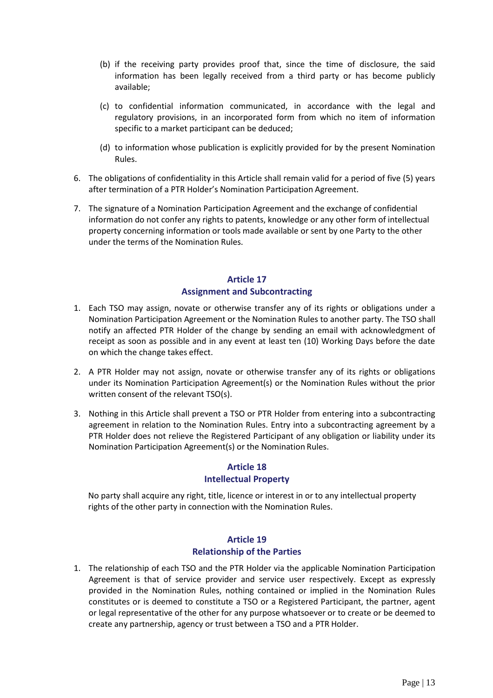- (b) if the receiving party provides proof that, since the time of disclosure, the said information has been legally received from a third party or has become publicly available;
- (c) to confidential information communicated, in accordance with the legal and regulatory provisions, in an incorporated form from which no item of information specific to a market participant can be deduced;
- (d) to information whose publication is explicitly provided for by the present Nomination Rules.
- 6. The obligations of confidentiality in this Article shall remain valid for a period of five (5) years after termination of a PTR Holder's Nomination Participation Agreement.
- 7. The signature of a Nomination Participation Agreement and the exchange of confidential information do not confer any rights to patents, knowledge or any other form of intellectual property concerning information or tools made available or sent by one Party to the other under the terms of the Nomination Rules.

## **Article 17 Assignment and Subcontracting**

- 1. Each TSO may assign, novate or otherwise transfer any of its rights or obligations under a Nomination Participation Agreement or the Nomination Rules to another party. The TSO shall notify an affected PTR Holder of the change by sending an email with acknowledgment of receipt as soon as possible and in any event at least ten (10) Working Days before the date on which the change takes effect.
- 2. A PTR Holder may not assign, novate or otherwise transfer any of its rights or obligations under its Nomination Participation Agreement(s) or the Nomination Rules without the prior written consent of the relevant TSO(s).
- 3. Nothing in this Article shall prevent a TSO or PTR Holder from entering into a subcontracting agreement in relation to the Nomination Rules. Entry into a subcontracting agreement by a PTR Holder does not relieve the Registered Participant of any obligation or liability under its Nomination Participation Agreement(s) or the Nomination Rules.

## **Article 18 Intellectual Property**

No party shall acquire any right, title, licence or interest in or to any intellectual property rights of the other party in connection with the Nomination Rules.

## **Article 19 Relationship of the Parties**

1. The relationship of each TSO and the PTR Holder via the applicable Nomination Participation Agreement is that of service provider and service user respectively. Except as expressly provided in the Nomination Rules, nothing contained or implied in the Nomination Rules constitutes or is deemed to constitute a TSO or a Registered Participant, the partner, agent or legal representative of the other for any purpose whatsoever or to create or be deemed to create any partnership, agency or trust between a TSO and a PTR Holder.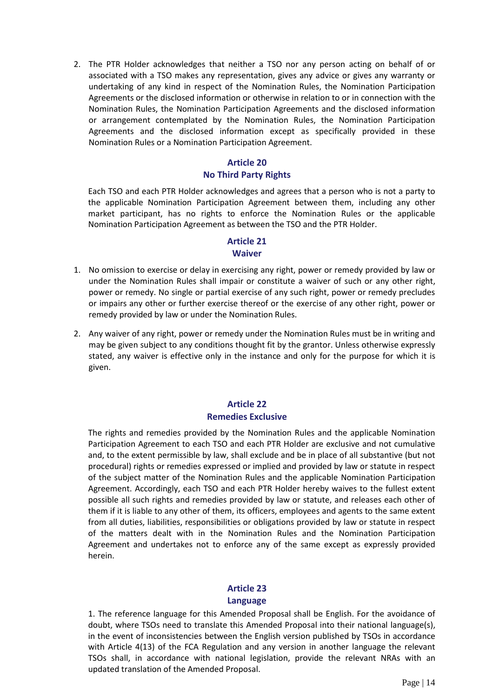2. The PTR Holder acknowledges that neither a TSO nor any person acting on behalf of or associated with a TSO makes any representation, gives any advice or gives any warranty or undertaking of any kind in respect of the Nomination Rules, the Nomination Participation Agreements or the disclosed information or otherwise in relation to or in connection with the Nomination Rules, the Nomination Participation Agreements and the disclosed information or arrangement contemplated by the Nomination Rules, the Nomination Participation Agreements and the disclosed information except as specifically provided in these Nomination Rules or a Nomination Participation Agreement.

## **Article 20 No Third Party Rights**

Each TSO and each PTR Holder acknowledges and agrees that a person who is not a party to the applicable Nomination Participation Agreement between them, including any other market participant, has no rights to enforce the Nomination Rules or the applicable Nomination Participation Agreement as between the TSO and the PTR Holder.

#### **Article 21 Waiver**

- 1. No omission to exercise or delay in exercising any right, power or remedy provided by law or under the Nomination Rules shall impair or constitute a waiver of such or any other right, power or remedy. No single or partial exercise of any such right, power or remedy precludes or impairs any other or further exercise thereof or the exercise of any other right, power or remedy provided by law or under the Nomination Rules.
- 2. Any waiver of any right, power or remedy under the Nomination Rules must be in writing and may be given subject to any conditions thought fit by the grantor. Unless otherwise expressly stated, any waiver is effective only in the instance and only for the purpose for which it is given.

## **Article 22 Remedies Exclusive**

The rights and remedies provided by the Nomination Rules and the applicable Nomination Participation Agreement to each TSO and each PTR Holder are exclusive and not cumulative and, to the extent permissible by law, shall exclude and be in place of all substantive (but not procedural) rights or remedies expressed or implied and provided by law or statute in respect of the subject matter of the Nomination Rules and the applicable Nomination Participation Agreement. Accordingly, each TSO and each PTR Holder hereby waives to the fullest extent possible all such rights and remedies provided by law or statute, and releases each other of them if it is liable to any other of them, its officers, employees and agents to the same extent from all duties, liabilities, responsibilities or obligations provided by law or statute in respect of the matters dealt with in the Nomination Rules and the Nomination Participation Agreement and undertakes not to enforce any of the same except as expressly provided herein.

## **Article 23 Language**

1. The reference language for this Amended Proposal shall be English. For the avoidance of doubt, where TSOs need to translate this Amended Proposal into their national language(s), in the event of inconsistencies between the English version published by TSOs in accordance with Article 4(13) of the FCA Regulation and any version in another language the relevant TSOs shall, in accordance with national legislation, provide the relevant NRAs with an updated translation of the Amended Proposal.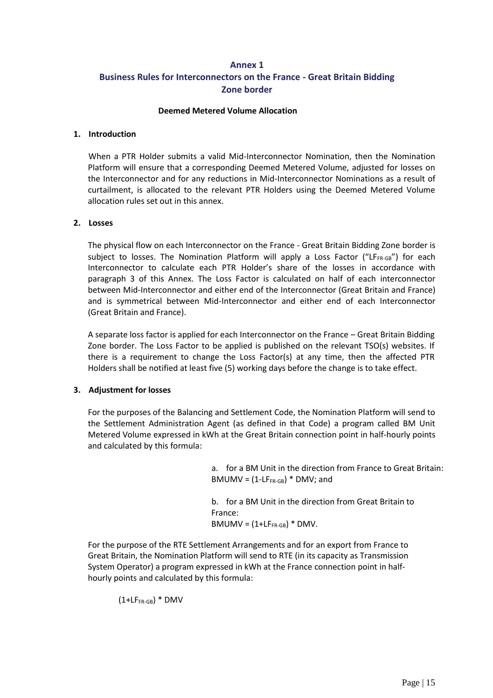## **Annex 1 Business Rules for Interconnectors on the France - Great Britain Bidding Zone border**

#### **Deemed Metered Volume Allocation**

#### **1. Introduction**

When a PTR Holder submits a valid Mid-Interconnector Nomination, then the Nomination Platform will ensure that a corresponding Deemed Metered Volume, adjusted for losses on the Interconnector and for any reductions in Mid-Interconnector Nominations as a result of curtailment, is allocated to the relevant PTR Holders using the Deemed Metered Volume allocation rules set out in this annex.

#### **2. Losses**

The physical flow on each Interconnector on the France - Great Britain Bidding Zone border is subject to losses. The Nomination Platform will apply a Loss Factor ("LFFR-GB") for each Interconnector to calculate each PTR Holder's share of the losses in accordance with paragraph 3 of this Annex. The Loss Factor is calculated on half of each interconnector between Mid-Interconnector and either end of the Interconnector (Great Britain and France) and is symmetrical between Mid-Interconnector and either end of each Interconnector (Great Britain and France).

A separate loss factor is applied for each Interconnector on the France – Great Britain Bidding Zone border. The Loss Factor to be applied is published on the relevant TSO(s) websites. If there is a requirement to change the Loss Factor(s) at any time, then the affected PTR Holders shall be notified at least five (5) working days before the change is to take effect.

#### **3. Adjustment for losses**

For the purposes of the Balancing and Settlement Code, the Nomination Platform will send to the Settlement Administration Agent (as defined in that Code) a program called BM Unit Metered Volume expressed in kWh at the Great Britain connection point in half-hourly points and calculated by this formula:

> a. for a BM Unit in the direction from France to Great Britain:  $BMIMN = (1-LF<sub>FR-GB</sub>) * DMV;$  and

b. for a BM Unit in the direction from Great Britain to France:  $BMIMN = (1+LF<sub>FR-GB</sub>) * DMV.$ 

For the purpose of the RTE Settlement Arrangements and for an export from France to Great Britain, the Nomination Platform will send to RTE (in its capacity as Transmission System Operator) a program expressed in kWh at the France connection point in halfhourly points and calculated by this formula:

 $(1+LF<sub>FR-GB</sub>) * DMV$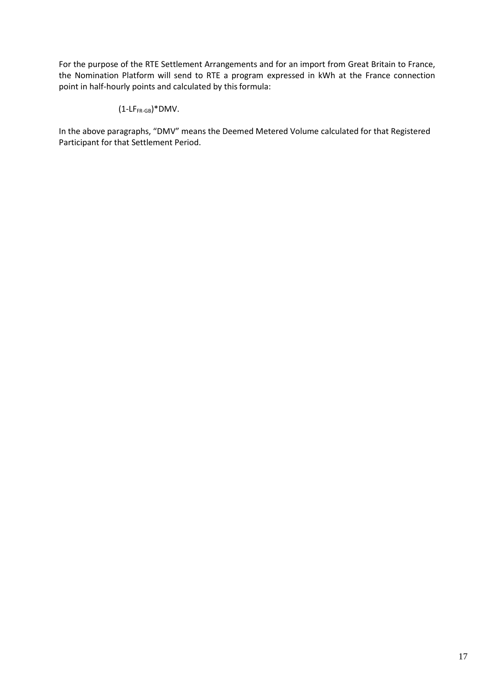For the purpose of the RTE Settlement Arrangements and for an import from Great Britain to France, the Nomination Platform will send to RTE a program expressed in kWh at the France connection point in half-hourly points and calculated by this formula:

## $(1-LF<sub>FR-GB</sub>)$ \*DMV.

In the above paragraphs, "DMV" means the Deemed Metered Volume calculated for that Registered Participant for that Settlement Period.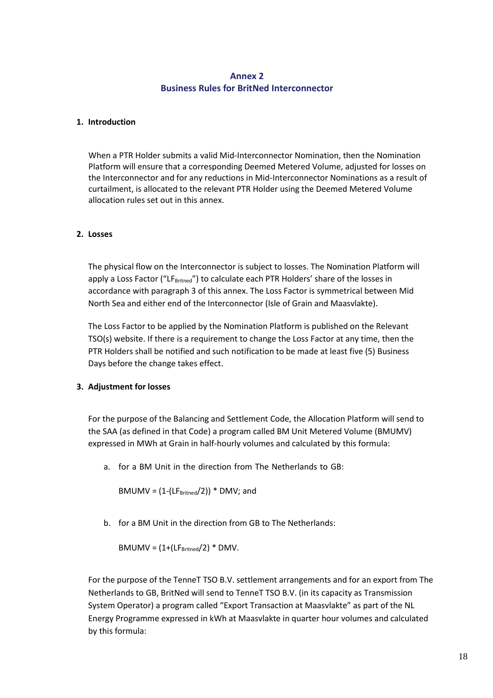### **Annex 2 Business Rules for BritNed Interconnector**

#### **1. Introduction**

When a PTR Holder submits a valid Mid-Interconnector Nomination, then the Nomination Platform will ensure that a corresponding Deemed Metered Volume, adjusted for losses on the Interconnector and for any reductions in Mid-Interconnector Nominations as a result of curtailment, is allocated to the relevant PTR Holder using the Deemed Metered Volume allocation rules set out in this annex.

#### **2. Losses**

The physical flow on the Interconnector is subject to losses. The Nomination Platform will apply a Loss Factor ("LF<sub>Britned</sub>") to calculate each PTR Holders' share of the losses in accordance with paragraph 3 of this annex. The Loss Factor is symmetrical between Mid North Sea and either end of the Interconnector (Isle of Grain and Maasvlakte).

The Loss Factor to be applied by the Nomination Platform is published on the Relevant TSO(s) website. If there is a requirement to change the Loss Factor at any time, then the PTR Holders shall be notified and such notification to be made at least five (5) Business Days before the change takes effect.

#### **3. Adjustment for losses**

For the purpose of the Balancing and Settlement Code, the Allocation Platform will send to the SAA (as defined in that Code) a program called BM Unit Metered Volume (BMUMV) expressed in MWh at Grain in half-hourly volumes and calculated by this formula:

a. for a BM Unit in the direction from The Netherlands to GB:

BMUMV =  $(1-(LF<sub>Britned</sub>/2))$  \* DMV; and

b. for a BM Unit in the direction from GB to The Netherlands:

 $BMIUMV = (1+(LF<sub>Britned</sub>/2) * DMV.$ 

For the purpose of the TenneT TSO B.V. settlement arrangements and for an export from The Netherlands to GB, BritNed will send to TenneT TSO B.V. (in its capacity as Transmission System Operator) a program called "Export Transaction at Maasvlakte" as part of the NL Energy Programme expressed in kWh at Maasvlakte in quarter hour volumes and calculated by this formula: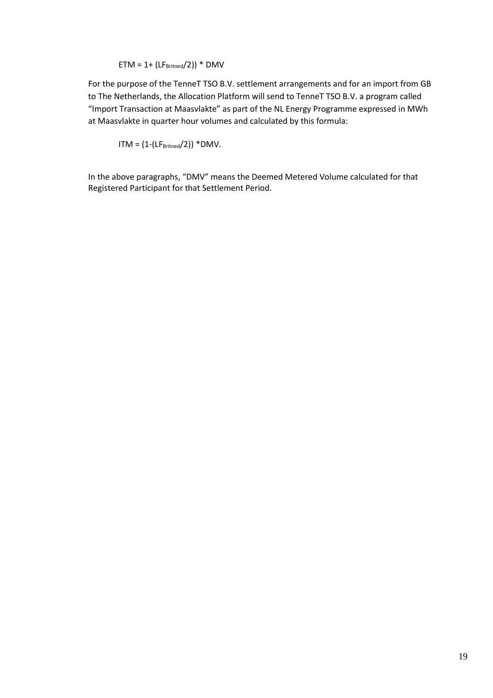#### $ETM = 1 + (LF<sub>Britned</sub>/2)) * DMV$

For the purpose of the TenneT TSO B.V. settlement arrangements and for an import from GB to The Netherlands, the Allocation Platform will send to TenneT TSO B.V. a program called "Import Transaction at Maasvlakte" as part of the NL Energy Programme expressed in MWh at Maasvlakte in quarter hour volumes and calculated by this formula:

 $ITM = (1-(LF<sub>Britned</sub>/2)) * DMV.$ 

In the above paragraphs, "DMV" means the Deemed Metered Volume calculated for that Registered Participant for that Settlement Period.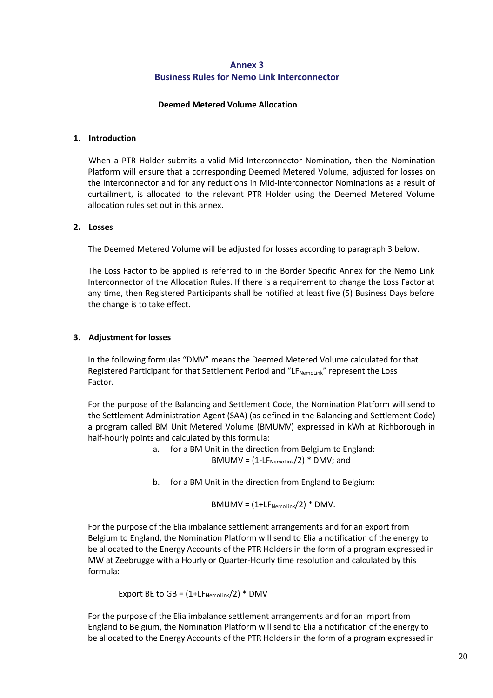### **Annex 3 Business Rules for Nemo Link Interconnector**

#### **Deemed Metered Volume Allocation**

#### **1. Introduction**

When a PTR Holder submits a valid Mid-Interconnector Nomination, then the Nomination Platform will ensure that a corresponding Deemed Metered Volume, adjusted for losses on the Interconnector and for any reductions in Mid-Interconnector Nominations as a result of curtailment, is allocated to the relevant PTR Holder using the Deemed Metered Volume allocation rules set out in this annex.

#### **2. Losses**

The Deemed Metered Volume will be adjusted for losses according to paragraph 3 below.

The Loss Factor to be applied is referred to in the Border Specific Annex for the Nemo Link Interconnector of the Allocation Rules. If there is a requirement to change the Loss Factor at any time, then Registered Participants shall be notified at least five (5) Business Days before the change is to take effect.

#### **3. Adjustment for losses**

In the following formulas "DMV" means the Deemed Metered Volume calculated for that Registered Participant for that Settlement Period and "LF<sub>NemoLink</sub>" represent the Loss Factor.

For the purpose of the Balancing and Settlement Code, the Nomination Platform will send to the Settlement Administration Agent (SAA) (as defined in the Balancing and Settlement Code) a program called BM Unit Metered Volume (BMUMV) expressed in kWh at Richborough in half-hourly points and calculated by this formula:

> a. for a BM Unit in the direction from Belgium to England:  $BMIMV = (1-LF<sub>Nemolink</sub>/2) * DMV; and$

> b. for a BM Unit in the direction from England to Belgium:

$$
BMIMN = (1+LF_{Nemolink}/2) * DMV.
$$

For the purpose of the Elia imbalance settlement arrangements and for an export from Belgium to England, the Nomination Platform will send to Elia a notification of the energy to be allocated to the Energy Accounts of the PTR Holders in the form of a program expressed in MW at Zeebrugge with a Hourly or Quarter-Hourly time resolution and calculated by this formula:

Export BE to  $GB = (1 + LF_{Nemolink}/2) * DMV$ 

For the purpose of the Elia imbalance settlement arrangements and for an import from England to Belgium, the Nomination Platform will send to Elia a notification of the energy to be allocated to the Energy Accounts of the PTR Holders in the form of a program expressed in